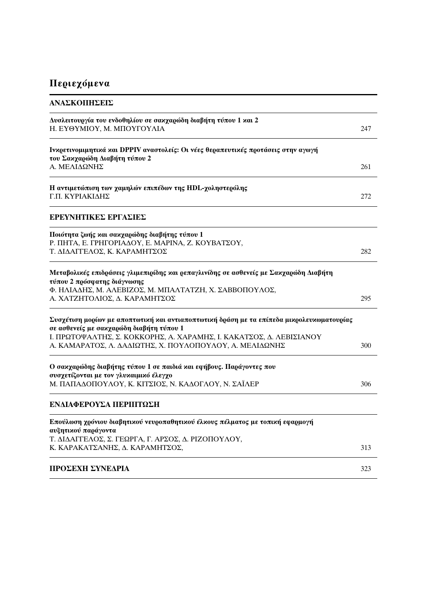## Περιεχόμενα

| ΑΝΑΣΚΟΠΗΣΕΙΣ                                                                                                                          |     |
|---------------------------------------------------------------------------------------------------------------------------------------|-----|
| Δυσλειτουργία του ενδοθηλίου σε σακχαρώδη διαβήτη τύπου 1 και 2<br>Η. ΕΥΘΥΜΙΟΥ, Μ. ΜΠΟΥΓΟΥΛΙΑ                                         | 247 |
| Ινκρετινομιμητικά και DPPIV αναστολείς: Οι νέες θεραπευτικές προτάσεις στην αγωγή<br>του Σακχαρώδη Διαβήτη τύπου 2                    |     |
| Α. ΜΕΛΙΔΩΝΗΣ                                                                                                                          | 261 |
| Η αντιμετώπιση των χαμηλών επιπέδων της HDL-χοληστερόλης<br>Γ.Π. ΚΥΡΙΑΚΙΔΗΣ                                                           | 272 |
| ΕΡΕΥΝΗΤΙΚΕΣ ΕΡΓΑΣΙΕΣ                                                                                                                  |     |
| Ποιότητα ζωής και σακχαρώδης διαβήτης τύπου 1                                                                                         |     |
| Ρ. ΠΗΤΑ, Ε. ΓΡΗΓΟΡΙΑΔΟΥ, Ε. ΜΑΡΙΝΑ, Ζ. ΚΟΥΒΑΤΣΟΥ,<br>Τ. ΔΙΔΑΓΓΕΛΟΣ, Κ. ΚΑΡΑΜΗΤΣΟΣ                                                     | 282 |
| Μεταβολικές επιδράσεις γλιμεπιρίδης και ρεπαγλινίδης σε ασθενείς με Σακχαρώδη Διαβήτη<br>τύπου 2 πρόσφατης διάγνωσης                  |     |
| Φ. ΗΛΙΑΔΗΣ, Μ. ΑΛΕΒΙΖΟΣ, Μ. ΜΠΑΛΤΑΤΖΗ, Χ. ΣΑΒΒΟΠΟΥΛΟΣ,<br>Α. ΧΑΤΖΗΤΟΛΙΟΣ, Δ. ΚΑΡΑΜΗΤΣΟΣ                                               | 295 |
| Συσχέτιση μορίων με αποπτωτική και αντιαποπτωτική δράση με τα επίπεδα μικρολευκωματουρίας<br>σε ασθενείς με σακχαρώδη διαβήτη τύπου 1 |     |
| Ι. ΠΡΩΤΟΨΑΛΤΗΣ, Σ. ΚΟΚΚΟΡΗΣ, Α. ΧΑΡΑΜΗΣ, Ι. ΚΑΚΑΤΣΟΣ, Δ. ΛΕΒΙΣΙΑΝΟΥ<br>Α. ΚΑΜΑΡΑΤΟΣ, Λ. ΔΑΔΙΩΤΗΣ, Χ. ΠΟΥΛΟΠΟΥΛΟΥ, Α. ΜΕΛΙΔΩΝΗΣ        | 300 |
| Ο σακχαρώδης διαβήτης τύπου 1 σε παιδιά και εφήβους. Παράγοντες που                                                                   |     |
| συσχετίζονται με τον γλυκαιμικό έλεγχο<br>Μ. ΠΑΠΑΔΟΠΟΥΛΟΥ, Κ. ΚΙΤΣΙΟΣ, Ν. ΚΑΔΟΓΛΟΥ, Ν. ΣΑΪΛΕΡ                                         | 306 |
| ΕΝΔΙΑΦΕΡΟΥΣΑ ΠΕΡΙΠΤΩΣΗ                                                                                                                |     |
| Επούλωση χρόνιου διαβητικού νευροπαθητικού έλκους πέλματος με τοπική εφαρμογή<br>αυξητικού παράγοντα                                  |     |
| Τ. ΔΙΔΑΓΓΕΛΟΣ, Σ. ΓΕΩΡΓΑ, Γ. ΑΡΣΟΣ, Δ. ΡΙΖΟΠΟΥΛΟΥ,                                                                                    |     |
| Κ. ΚΑΡΑΚΑΤΣΑΝΗΣ, Δ. ΚΑΡΑΜΗΤΣΟΣ,                                                                                                       | 313 |
| ΠΡΟΣΕΧΗ ΣΥΝΕΔΡΙΑ                                                                                                                      | 323 |